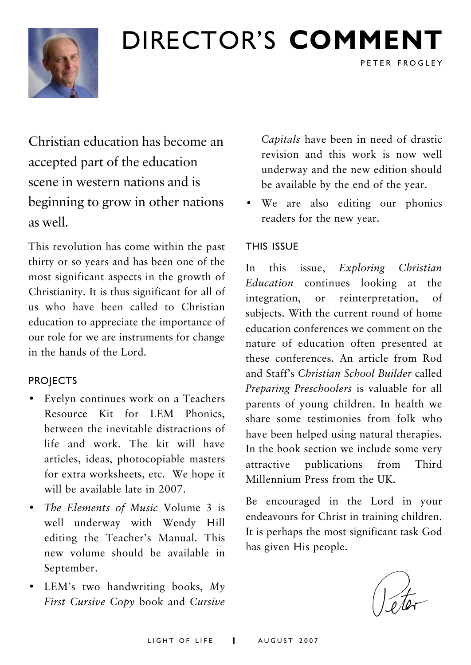

## DIRECTOR'S **COMMENT**

Christian education has become an accepted part of the education scene in western nations and is beginning to grow in other nations as well.

This revolution has come within the past thirty or so years and has been one of the most significant aspects in the growth of Christianity. It is thus significant for all of us who have been called to Christian education to appreciate the importance of our role for we are instruments for change in the hands of the Lord.

#### **PROJECTS**

- Evelyn continues work on a Teachers Resource Kit for LEM Phonics, between the inevitable distractions of life and work. The kit will have articles, ideas, photocopiable masters for extra worksheets, etc. We hope it will be available late in 2007.
- *The Elements of Music* Volume 3 is well underway with Wendy Hill editing the Teacher's Manual. This new volume should be available in September.
- LEM's two handwriting books, *My First Cursive Copy* book and *Cursive*

*Capitals* have been in need of drastic revision and this work is now well underway and the new edition should be available by the end of the year.

PETER FROGLEY

• We are also editing our phonics readers for the new year.

#### THIS ISSUE

In this issue, *Exploring Christian Education* continues looking at the integration, or reinterpretation, of subjects. With the current round of home education conferences we comment on the nature of education often presented at these conferences. An article from Rod and Staff's *Christian School Builder* called *Preparing Preschoolers* is valuable for all parents of young children. In health we share some testimonies from folk who have been helped using natural therapies. In the book section we include some very attractive publications from Third Millennium Press from the UK.

Be encouraged in the Lord in your endeavours for Christ in training children. It is perhaps the most significant task God has given His people.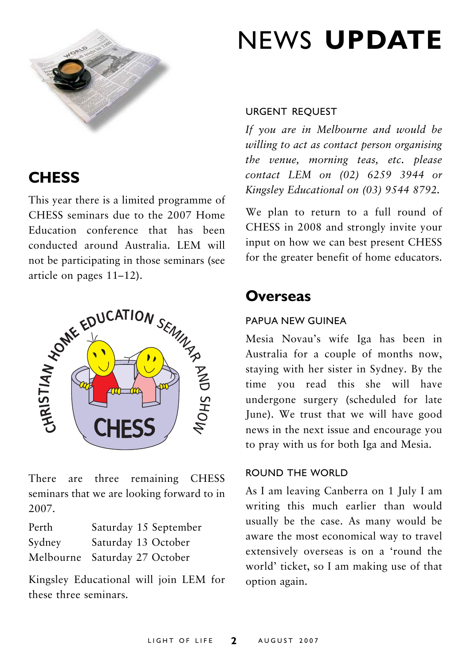

## **CHESS**

This year there is a limited programme of CHESS seminars due to the 2007 Home Education conference that has been conducted around Australia. LEM will not be participating in those seminars (see



There are three remaining CHESS seminars that we are looking forward to in 2007.

| Perth  | Saturday 15 September         |
|--------|-------------------------------|
| Sydney | Saturday 13 October           |
|        | Melbourne Saturday 27 October |

Kingsley Educational will join LEM for these three seminars.

## NEWS **UPDATE**

#### URGENT REQUEST

*If you are in Melbourne and would be willing to act as contact person organising the venue, morning teas, etc. please contact LEM on (02) 6259 3944 or Kingsley Educational on (03) 9544 8792.*

We plan to return to a full round of CHESS in 2008 and strongly invite your input on how we can best present CHESS for the greater benefit of home educators.

### **Overseas**

#### PAPUA NEW GUINEA

Mesia Novau's wife Iga has been in Australia for a couple of months now, staying with her sister in Sydney. By the time you read this she will have undergone surgery (scheduled for late June). We trust that we will have good news in the next issue and encourage you to pray with us for both Iga and Mesia.

#### ROUND THE WORLD

As I am leaving Canberra on 1 July I am writing this much earlier than would usually be the case. As many would be aware the most economical way to travel extensively overseas is on a 'round the world' ticket, so I am making use of that option again.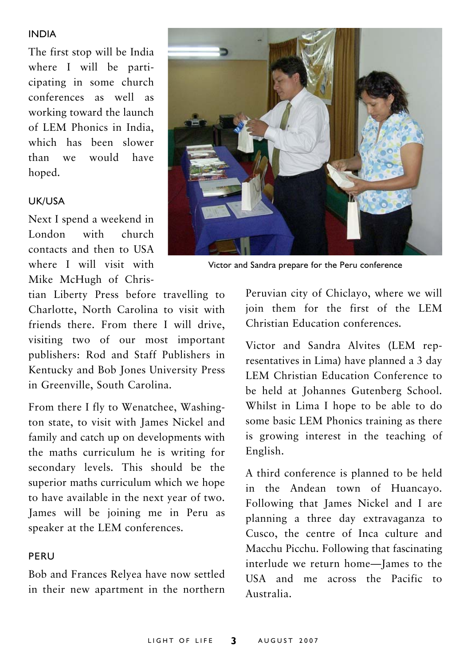#### INDIA

The first stop will be India where I will be participating in some church conferences as well as working toward the launch of LEM Phonics in India, which has been slower than we would have hoped.

#### UK/USA

Next I spend a weekend in London with church contacts and then to USA where I will visit with Mike McHugh of Chris-

tian Liberty Press before travelling to Charlotte, North Carolina to visit with friends there. From there I will drive, visiting two of our most important publishers: Rod and Staff Publishers in Kentucky and Bob Jones University Press in Greenville, South Carolina.

From there I fly to Wenatchee, Washington state, to visit with James Nickel and family and catch up on developments with the maths curriculum he is writing for secondary levels. This should be the superior maths curriculum which we hope to have available in the next year of two. James will be joining me in Peru as speaker at the LEM conferences.

#### PERU

Bob and Frances Relyea have now settled in their new apartment in the northern



Victor and Sandra prepare for the Peru conference

Peruvian city of Chiclayo, where we will join them for the first of the LEM Christian Education conferences.

Victor and Sandra Alvites (LEM representatives in Lima) have planned a 3 day LEM Christian Education Conference to be held at Johannes Gutenberg School. Whilst in Lima I hope to be able to do some basic LEM Phonics training as there is growing interest in the teaching of English.

A third conference is planned to be held in the Andean town of Huancayo. Following that James Nickel and I are planning a three day extravaganza to Cusco, the centre of Inca culture and Macchu Picchu. Following that fascinating interlude we return home—James to the USA and me across the Pacific to Australia.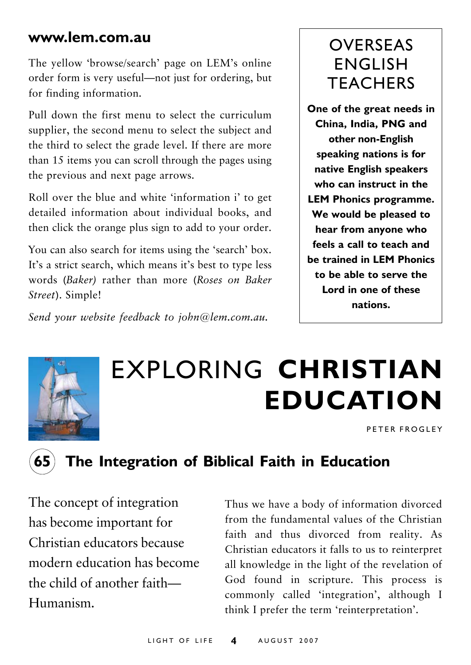### **www.lem.com.au**

The yellow 'browse/search' page on LEM's online order form is very useful—not just for ordering, but for finding information.

Pull down the first menu to select the curriculum supplier, the second menu to select the subject and the third to select the grade level. If there are more than 15 items you can scroll through the pages using the previous and next page arrows.

Roll over the blue and white 'information i' to get detailed information about individual books, and then click the orange plus sign to add to your order.

You can also search for items using the 'search' box. It's a strict search, which means it's best to type less words (*Baker)* rather than more (*Roses on Baker Street*). Simple!

*Send your website feedback to john@lem.com.au.*

## OVERSEAS ENGLISH **TFACHERS**

**One of the great needs in China, India, PNG and other non-English speaking nations is for native English speakers who can instruct in the LEM Phonics programme. We would be pleased to hear from anyone who feels a call to teach and be trained in LEM Phonics to be able to serve the Lord in one of these nations.**



## EXPLORING **CHRISTIAN EDUCATION**

PETER FROGLEY



### **65 The Integration of Biblical Faith in Education**

The concept of integration has become important for Christian educators because modern education has become the child of another faith— Humanism.

Thus we have a body of information divorced from the fundamental values of the Christian faith and thus divorced from reality. As Christian educators it falls to us to reinterpret all knowledge in the light of the revelation of God found in scripture. This process is commonly called 'integration', although I think I prefer the term 'reinterpretation'.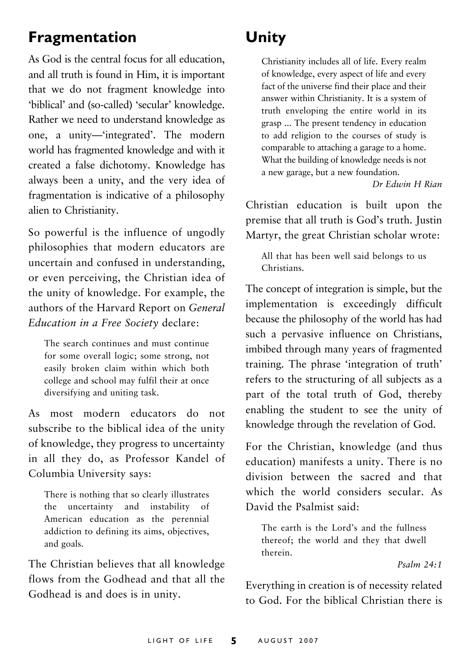## **Fragmentation**

As God is the central focus for all education, and all truth is found in Him, it is important that we do not fragment knowledge into 'biblical' and (so-called) 'secular' knowledge. Rather we need to understand knowledge as one, a unity—'integrated'. The modern world has fragmented knowledge and with it created a false dichotomy. Knowledge has always been a unity, and the very idea of fragmentation is indicative of a philosophy alien to Christianity.

So powerful is the influence of ungodly philosophies that modern educators are uncertain and confused in understanding, or even perceiving, the Christian idea of the unity of knowledge. For example, the authors of the Harvard Report on *General Education in a Free Society* declare:

The search continues and must continue for some overall logic; some strong, not easily broken claim within which both college and school may fulfil their at once diversifying and uniting task.

As most modern educators do not subscribe to the biblical idea of the unity of knowledge, they progress to uncertainty in all they do, as Professor Kandel of Columbia University says:

There is nothing that so clearly illustrates the uncertainty and instability of American education as the perennial addiction to defining its aims, objectives, and goals.

The Christian believes that all knowledge flows from the Godhead and that all the Godhead is and does is in unity.

## **Unity**

Christianity includes all of life. Every realm of knowledge, every aspect of life and every fact of the universe find their place and their answer within Christianity. It is a system of truth enveloping the entire world in its grasp ... The present tendency in education to add religion to the courses of study is comparable to attaching a garage to a home. What the building of knowledge needs is not a new garage, but a new foundation.

*Dr Edwin H Rian*

Christian education is built upon the premise that all truth is God's truth. Justin Martyr, the great Christian scholar wrote:

All that has been well said belongs to us Christians.

The concept of integration is simple, but the implementation is exceedingly difficult because the philosophy of the world has had such a pervasive influence on Christians, imbibed through many years of fragmented training. The phrase 'integration of truth' refers to the structuring of all subjects as a part of the total truth of God, thereby enabling the student to see the unity of knowledge through the revelation of God.

For the Christian, knowledge (and thus education) manifests a unity. There is no division between the sacred and that which the world considers secular. As David the Psalmist said:

The earth is the Lord's and the fullness thereof; the world and they that dwell therein.

*Psalm 24:1*

Everything in creation is of necessity related to God. For the biblical Christian there is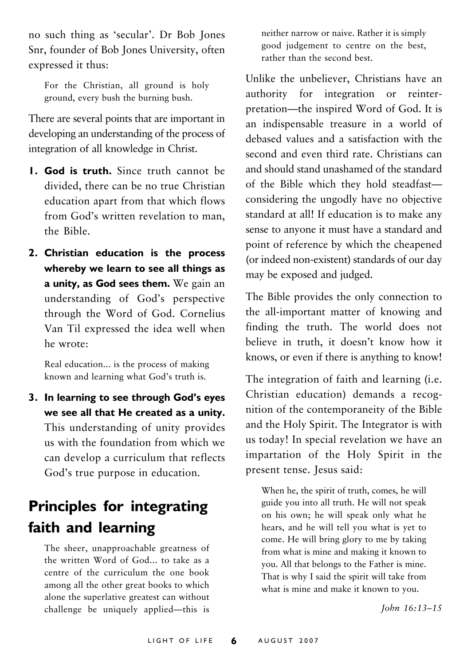no such thing as 'secular'. Dr Bob Jones Snr, founder of Bob Jones University, often expressed it thus:

For the Christian, all ground is holy ground, every bush the burning bush.

There are several points that are important in developing an understanding of the process of integration of all knowledge in Christ.

- **1. God is truth.** Since truth cannot be divided, there can be no true Christian education apart from that which flows from God's written revelation to man, the Bible.
- **2. Christian education is the process whereby we learn to see all things as a unity, as God sees them.** We gain an understanding of God's perspective through the Word of God. Cornelius Van Til expressed the idea well when he wrote:

Real education... is the process of making known and learning what God's truth is.

**3. In learning to see through God's eyes we see all that He created as a unity.** This understanding of unity provides us with the foundation from which we can develop a curriculum that reflects God's true purpose in education.

## **Principles for integrating faith and learning**

The sheer, unapproachable greatness of the written Word of God... to take as a centre of the curriculum the one book among all the other great books to which alone the superlative greatest can without challenge be uniquely applied—this is neither narrow or naive. Rather it is simply good judgement to centre on the best, rather than the second best.

Unlike the unbeliever, Christians have an authority for integration or reinterpretation—the inspired Word of God. It is an indispensable treasure in a world of debased values and a satisfaction with the second and even third rate. Christians can and should stand unashamed of the standard of the Bible which they hold steadfast considering the ungodly have no objective standard at all! If education is to make any sense to anyone it must have a standard and point of reference by which the cheapened (or indeed non-existent) standards of our day may be exposed and judged.

The Bible provides the only connection to the all-important matter of knowing and finding the truth. The world does not believe in truth, it doesn't know how it knows, or even if there is anything to know!

The integration of faith and learning (i.e. Christian education) demands a recognition of the contemporaneity of the Bible and the Holy Spirit. The Integrator is with us today! In special revelation we have an impartation of the Holy Spirit in the present tense. Jesus said:

When he, the spirit of truth, comes, he will guide you into all truth. He will not speak on his own; he will speak only what he hears, and he will tell you what is yet to come. He will bring glory to me by taking from what is mine and making it known to you. All that belongs to the Father is mine. That is why I said the spirit will take from what is mine and make it known to you.

*John 16:13–15*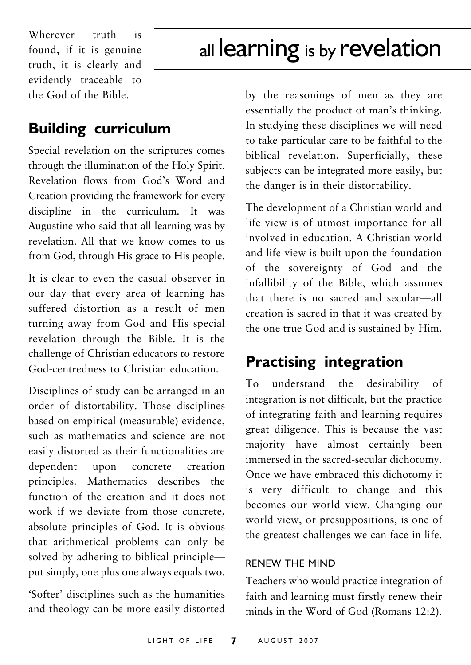Wherever truth is found, if it is genuine truth, it is clearly and evidently traceable to the God of the Bible.

## all learning is by revelation

### **Building curriculum**

Special revelation on the scriptures comes through the illumination of the Holy Spirit. Revelation flows from God's Word and Creation providing the framework for every discipline in the curriculum. It was Augustine who said that all learning was by revelation. All that we know comes to us from God, through His grace to His people.

It is clear to even the casual observer in our day that every area of learning has suffered distortion as a result of men turning away from God and His special revelation through the Bible. It is the challenge of Christian educators to restore God-centredness to Christian education.

Disciplines of study can be arranged in an order of distortability. Those disciplines based on empirical (measurable) evidence, such as mathematics and science are not easily distorted as their functionalities are dependent upon concrete creation principles. Mathematics describes the function of the creation and it does not work if we deviate from those concrete, absolute principles of God. It is obvious that arithmetical problems can only be solved by adhering to biblical principle put simply, one plus one always equals two.

'Softer' disciplines such as the humanities and theology can be more easily distorted by the reasonings of men as they are essentially the product of man's thinking. In studying these disciplines we will need to take particular care to be faithful to the biblical revelation. Superficially, these subjects can be integrated more easily, but the danger is in their distortability.

The development of a Christian world and life view is of utmost importance for all involved in education. A Christian world and life view is built upon the foundation of the sovereignty of God and the infallibility of the Bible, which assumes that there is no sacred and secular—all creation is sacred in that it was created by the one true God and is sustained by Him.

### **Practising integration**

To understand the desirability of integration is not difficult, but the practice of integrating faith and learning requires great diligence. This is because the vast majority have almost certainly been immersed in the sacred-secular dichotomy. Once we have embraced this dichotomy it is very difficult to change and this becomes our world view. Changing our world view, or presuppositions, is one of the greatest challenges we can face in life.

#### RENEW THE MIND

Teachers who would practice integration of faith and learning must firstly renew their minds in the Word of God (Romans 12:2).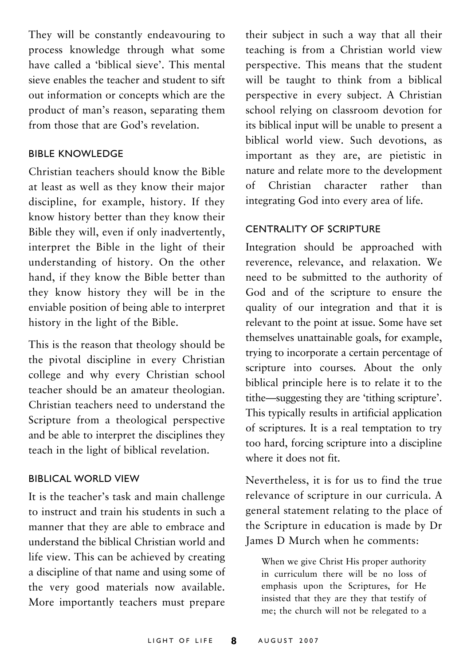They will be constantly endeavouring to process knowledge through what some have called a 'biblical sieve'. This mental sieve enables the teacher and student to sift out information or concepts which are the product of man's reason, separating them from those that are God's revelation.

#### BIBLE KNOWLEDGE

Christian teachers should know the Bible at least as well as they know their major discipline, for example, history. If they know history better than they know their Bible they will, even if only inadvertently, interpret the Bible in the light of their understanding of history. On the other hand, if they know the Bible better than they know history they will be in the enviable position of being able to interpret history in the light of the Bible.

This is the reason that theology should be the pivotal discipline in every Christian college and why every Christian school teacher should be an amateur theologian. Christian teachers need to understand the Scripture from a theological perspective and be able to interpret the disciplines they teach in the light of biblical revelation.

#### BIBLICAL WORLD VIEW

It is the teacher's task and main challenge to instruct and train his students in such a manner that they are able to embrace and understand the biblical Christian world and life view. This can be achieved by creating a discipline of that name and using some of the very good materials now available. More importantly teachers must prepare

their subject in such a way that all their teaching is from a Christian world view perspective. This means that the student will be taught to think from a biblical perspective in every subject. A Christian school relying on classroom devotion for its biblical input will be unable to present a biblical world view. Such devotions, as important as they are, are pietistic in nature and relate more to the development of Christian character rather than integrating God into every area of life.

#### CENTRALITY OF SCRIPTURE

Integration should be approached with reverence, relevance, and relaxation. We need to be submitted to the authority of God and of the scripture to ensure the quality of our integration and that it is relevant to the point at issue. Some have set themselves unattainable goals, for example, trying to incorporate a certain percentage of scripture into courses. About the only biblical principle here is to relate it to the tithe—suggesting they are 'tithing scripture'. This typically results in artificial application of scriptures. It is a real temptation to try too hard, forcing scripture into a discipline where it does not fit.

Nevertheless, it is for us to find the true relevance of scripture in our curricula. A general statement relating to the place of the Scripture in education is made by Dr James D Murch when he comments:

When we give Christ His proper authority in curriculum there will be no loss of emphasis upon the Scriptures, for He insisted that they are they that testify of me; the church will not be relegated to a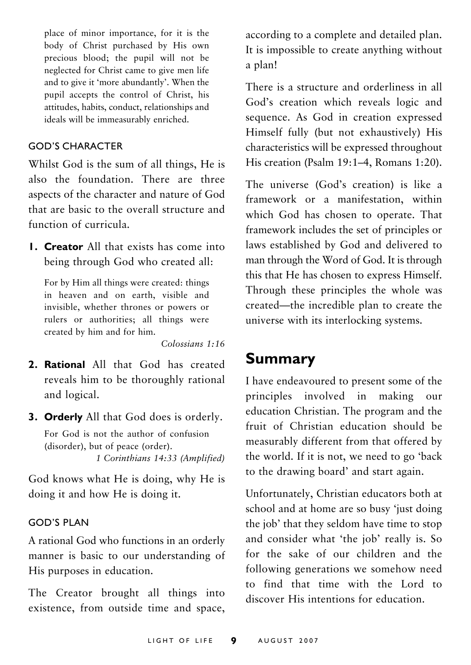place of minor importance, for it is the body of Christ purchased by His own precious blood; the pupil will not be neglected for Christ came to give men life and to give it 'more abundantly'. When the pupil accepts the control of Christ, his attitudes, habits, conduct, relationships and ideals will be immeasurably enriched.

#### GOD'S CHARACTER

Whilst God is the sum of all things, He is also the foundation. There are three aspects of the character and nature of God that are basic to the overall structure and function of curricula.

**1. Creator** All that exists has come into being through God who created all:

For by Him all things were created: things in heaven and on earth, visible and invisible, whether thrones or powers or rulers or authorities; all things were created by him and for him.

*Colossians 1:16*

- **2. Rational** All that God has created reveals him to be thoroughly rational and logical.
- **3. Orderly** All that God does is orderly.

For God is not the author of confusion (disorder), but of peace (order). *1 Corinthians 14:33 (Amplified)*

God knows what He is doing, why He is doing it and how He is doing it.

#### GOD'S PLAN

A rational God who functions in an orderly manner is basic to our understanding of His purposes in education.

The Creator brought all things into existence, from outside time and space,

according to a complete and detailed plan. It is impossible to create anything without a plan!

There is a structure and orderliness in all God's creation which reveals logic and sequence. As God in creation expressed Himself fully (but not exhaustively) His characteristics will be expressed throughout His creation (Psalm 19:1–4, Romans 1:20).

The universe (God's creation) is like a framework or a manifestation, within which God has chosen to operate. That framework includes the set of principles or laws established by God and delivered to man through the Word of God. It is through this that He has chosen to express Himself. Through these principles the whole was created—the incredible plan to create the universe with its interlocking systems.

### **Summary**

I have endeavoured to present some of the principles involved in making our education Christian. The program and the fruit of Christian education should be measurably different from that offered by the world. If it is not, we need to go 'back to the drawing board' and start again.

Unfortunately, Christian educators both at school and at home are so busy 'just doing the job' that they seldom have time to stop and consider what 'the job' really is. So for the sake of our children and the following generations we somehow need to find that time with the Lord to discover His intentions for education.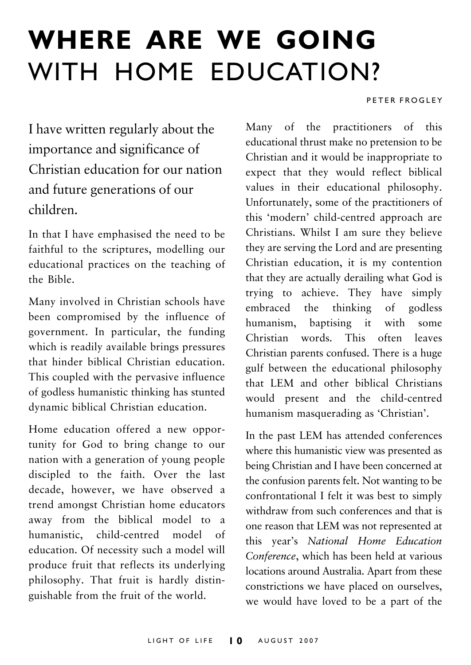## **WHERE ARE WE GOING** WITH HOME EDUCATION?

#### PETER FROGLEY

I have written regularly about the importance and significance of Christian education for our nation and future generations of our children.

In that I have emphasised the need to be faithful to the scriptures, modelling our educational practices on the teaching of the Bible.

Many involved in Christian schools have been compromised by the influence of government. In particular, the funding which is readily available brings pressures that hinder biblical Christian education. This coupled with the pervasive influence of godless humanistic thinking has stunted dynamic biblical Christian education.

Home education offered a new opportunity for God to bring change to our nation with a generation of young people discipled to the faith. Over the last decade, however, we have observed a trend amongst Christian home educators away from the biblical model to a humanistic, child-centred model of education. Of necessity such a model will produce fruit that reflects its underlying philosophy. That fruit is hardly distinguishable from the fruit of the world.

Many of the practitioners of this educational thrust make no pretension to be Christian and it would be inappropriate to expect that they would reflect biblical values in their educational philosophy. Unfortunately, some of the practitioners of this 'modern' child-centred approach are Christians. Whilst I am sure they believe they are serving the Lord and are presenting Christian education, it is my contention that they are actually derailing what God is trying to achieve. They have simply embraced the thinking of godless humanism, baptising it with some Christian words. This often leaves Christian parents confused. There is a huge gulf between the educational philosophy that LEM and other biblical Christians would present and the child-centred humanism masquerading as 'Christian'.

In the past LEM has attended conferences where this humanistic view was presented as being Christian and I have been concerned at the confusion parents felt. Not wanting to be confrontational I felt it was best to simply withdraw from such conferences and that is one reason that LEM was not represented at this year's *National Home Education Conference*, which has been held at various locations around Australia. Apart from these constrictions we have placed on ourselves, we would have loved to be a part of the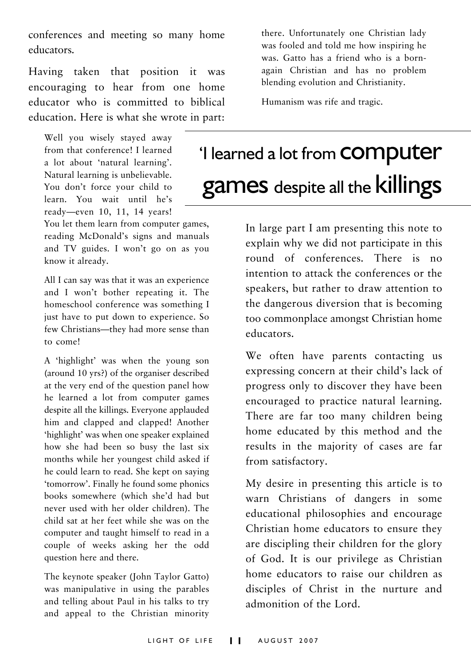conferences and meeting so many home educators.

Having taken that position it was encouraging to hear from one home educator who is committed to biblical education. Here is what she wrote in part:

Well you wisely stayed away from that conference! I learned a lot about 'natural learning'. Natural learning is unbelievable. You don't force your child to learn. You wait until he's ready—even 10, 11, 14 years!

You let them learn from computer games, reading McDonald's signs and manuals and TV guides. I won't go on as you know it already.

All I can say was that it was an experience and I won't bother repeating it. The homeschool conference was something I just have to put down to experience. So few Christians—they had more sense than to come!

A 'highlight' was when the young son (around 10 yrs?) of the organiser described at the very end of the question panel how he learned a lot from computer games despite all the killings. Everyone applauded him and clapped and clapped! Another 'highlight' was when one speaker explained how she had been so busy the last six months while her youngest child asked if he could learn to read. She kept on saying 'tomorrow'. Finally he found some phonics books somewhere (which she'd had but never used with her older children). The child sat at her feet while she was on the computer and taught himself to read in a couple of weeks asking her the odd question here and there.

The keynote speaker (John Taylor Gatto) was manipulative in using the parables and telling about Paul in his talks to try and appeal to the Christian minority there. Unfortunately one Christian lady was fooled and told me how inspiring he was. Gatto has a friend who is a bornagain Christian and has no problem blending evolution and Christianity.

Humanism was rife and tragic.

## 'I learned a lot from computer games despite all the killings

In large part I am presenting this note to explain why we did not participate in this round of conferences. There is no intention to attack the conferences or the speakers, but rather to draw attention to the dangerous diversion that is becoming too commonplace amongst Christian home educators.

We often have parents contacting us expressing concern at their child's lack of progress only to discover they have been encouraged to practice natural learning. There are far too many children being home educated by this method and the results in the majority of cases are far from satisfactory.

My desire in presenting this article is to warn Christians of dangers in some educational philosophies and encourage Christian home educators to ensure they are discipling their children for the glory of God. It is our privilege as Christian home educators to raise our children as disciples of Christ in the nurture and admonition of the Lord.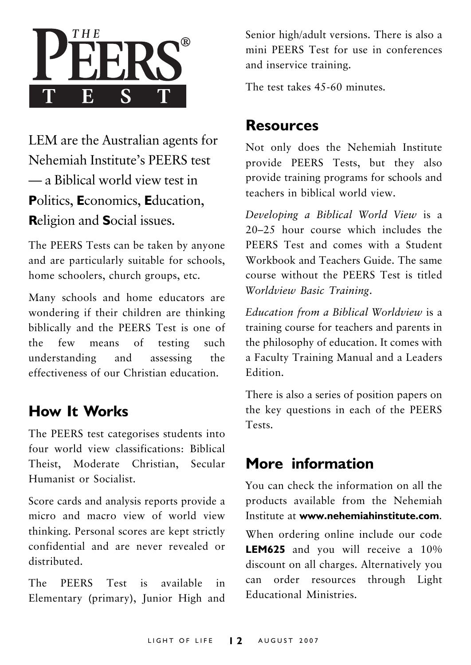

LEM are the Australian agents for Nehemiah Institute's PEERS test — a Biblical world view test in **P**olitics, **E**conomics, **E**ducation, **R**eligion and **S**ocial issues.

The PEERS Tests can be taken by anyone and are particularly suitable for schools, home schoolers, church groups, etc.

Many schools and home educators are wondering if their children are thinking biblically and the PEERS Test is one of the few means of testing such understanding and assessing the effectiveness of our Christian education.

### **How It Works**

The PEERS test categorises students into four world view classifications: Biblical Theist, Moderate Christian, Secular Humanist or Socialist.

Score cards and analysis reports provide a micro and macro view of world view thinking. Personal scores are kept strictly confidential and are never revealed or distributed.

The PEERS Test is available in Elementary (primary), Junior High and Senior high/adult versions. There is also a mini PEERS Test for use in conferences and inservice training.

The test takes 45-60 minutes.

### **Resources**

Not only does the Nehemiah Institute provide PEERS Tests, but they also provide training programs for schools and teachers in biblical world view.

*Developing a Biblical World View* is a 20–25 hour course which includes the PEERS Test and comes with a Student Workbook and Teachers Guide. The same course without the PEERS Test is titled *Worldview Basic Training*.

*Education from a Biblical Worldview* is a training course for teachers and parents in the philosophy of education. It comes with a Faculty Training Manual and a Leaders Edition.

There is also a series of position papers on the key questions in each of the PEERS Tests.

### **More information**

You can check the information on all the products available from the Nehemiah Institute at **www.nehemiahinstitute.com**. When ordering online include our code **LEM625** and you will receive a 10% discount on all charges. Alternatively you can order resources through Light Educational Ministries.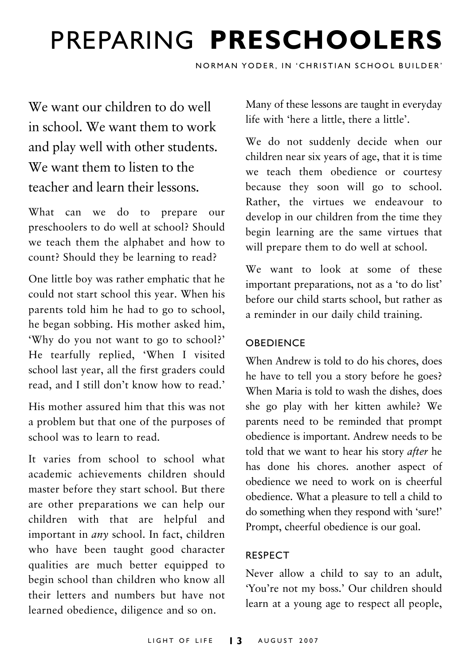## PREPARING **PRESCHOOLERS**

NORMAN YODER, IN 'CHRISTIAN SCHOOL BUILDER'

We want our children to do well in school. We want them to work and play well with other students. We want them to listen to the teacher and learn their lessons.

What can we do to prepare our preschoolers to do well at school? Should we teach them the alphabet and how to count? Should they be learning to read?

One little boy was rather emphatic that he could not start school this year. When his parents told him he had to go to school, he began sobbing. His mother asked him, 'Why do you not want to go to school?' He tearfully replied, 'When I visited school last year, all the first graders could read, and I still don't know how to read.'

His mother assured him that this was not a problem but that one of the purposes of school was to learn to read.

It varies from school to school what academic achievements children should master before they start school. But there are other preparations we can help our children with that are helpful and important in *any* school. In fact, children who have been taught good character qualities are much better equipped to begin school than children who know all their letters and numbers but have not learned obedience, diligence and so on.

Many of these lessons are taught in everyday life with 'here a little, there a little'.

We do not suddenly decide when our children near six years of age, that it is time we teach them obedience or courtesy because they soon will go to school. Rather, the virtues we endeavour to develop in our children from the time they begin learning are the same virtues that will prepare them to do well at school.

We want to look at some of these important preparations, not as a 'to do list' before our child starts school, but rather as a reminder in our daily child training.

#### **OBEDIENCE**

When Andrew is told to do his chores, does he have to tell you a story before he goes? When Maria is told to wash the dishes, does she go play with her kitten awhile? We parents need to be reminded that prompt obedience is important. Andrew needs to be told that we want to hear his story *after* he has done his chores. another aspect of obedience we need to work on is cheerful obedience. What a pleasure to tell a child to do something when they respond with 'sure!' Prompt, cheerful obedience is our goal.

#### RESPECT

Never allow a child to say to an adult, 'You're not my boss.' Our children should learn at a young age to respect all people,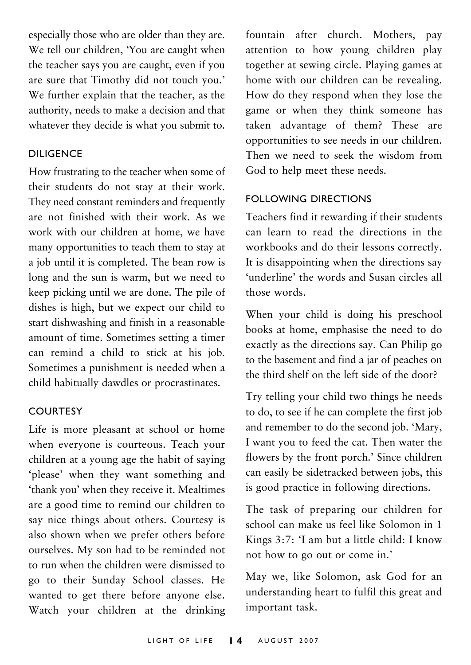especially those who are older than they are. We tell our children, 'You are caught when the teacher says you are caught, even if you are sure that Timothy did not touch you.' We further explain that the teacher, as the authority, needs to make a decision and that whatever they decide is what you submit to.

#### DILIGENCE

How frustrating to the teacher when some of their students do not stay at their work. They need constant reminders and frequently are not finished with their work. As we work with our children at home, we have many opportunities to teach them to stay at a job until it is completed. The bean row is long and the sun is warm, but we need to keep picking until we are done. The pile of dishes is high, but we expect our child to start dishwashing and finish in a reasonable amount of time. Sometimes setting a timer can remind a child to stick at his job. Sometimes a punishment is needed when a child habitually dawdles or procrastinates.

#### **COURTESY**

Life is more pleasant at school or home when everyone is courteous. Teach your children at a young age the habit of saying 'please' when they want something and 'thank you' when they receive it. Mealtimes are a good time to remind our children to say nice things about others. Courtesy is also shown when we prefer others before ourselves. My son had to be reminded not to run when the children were dismissed to go to their Sunday School classes. He wanted to get there before anyone else. Watch your children at the drinking

fountain after church. Mothers, pay attention to how young children play together at sewing circle. Playing games at home with our children can be revealing. How do they respond when they lose the game or when they think someone has taken advantage of them? These are opportunities to see needs in our children. Then we need to seek the wisdom from God to help meet these needs.

#### FOLLOWING DIRECTIONS

Teachers find it rewarding if their students can learn to read the directions in the workbooks and do their lessons correctly. It is disappointing when the directions say 'underline' the words and Susan circles all those words.

When your child is doing his preschool books at home, emphasise the need to do exactly as the directions say. Can Philip go to the basement and find a jar of peaches on the third shelf on the left side of the door?

Try telling your child two things he needs to do, to see if he can complete the first job and remember to do the second job. 'Mary, I want you to feed the cat. Then water the flowers by the front porch.' Since children can easily be sidetracked between jobs, this is good practice in following directions.

The task of preparing our children for school can make us feel like Solomon in 1 Kings 3:7: 'I am but a little child: I know not how to go out or come in.'

May we, like Solomon, ask God for an understanding heart to fulfil this great and important task.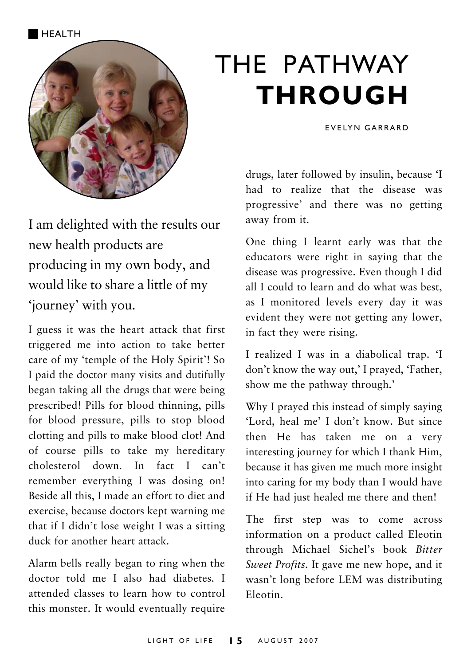HEALTH



I am delighted with the results our new health products are producing in my own body, and would like to share a little of my 'journey' with you.

I guess it was the heart attack that first triggered me into action to take better care of my 'temple of the Holy Spirit'! So I paid the doctor many visits and dutifully began taking all the drugs that were being prescribed! Pills for blood thinning, pills for blood pressure, pills to stop blood clotting and pills to make blood clot! And of course pills to take my hereditary cholesterol down. In fact I can't remember everything I was dosing on! Beside all this, I made an effort to diet and exercise, because doctors kept warning me that if I didn't lose weight I was a sitting duck for another heart attack.

Alarm bells really began to ring when the doctor told me I also had diabetes. I attended classes to learn how to control this monster. It would eventually require

## THE PATHWAY **THROUGH**

EVELYN GARRARD

drugs, later followed by insulin, because 'I had to realize that the disease was progressive' and there was no getting away from it.

One thing I learnt early was that the educators were right in saying that the disease was progressive. Even though I did all I could to learn and do what was best, as I monitored levels every day it was evident they were not getting any lower, in fact they were rising.

I realized I was in a diabolical trap. 'I don't know the way out,' I prayed, 'Father, show me the pathway through.'

Why I prayed this instead of simply saying 'Lord, heal me' I don't know. But since then He has taken me on a very interesting journey for which I thank Him, because it has given me much more insight into caring for my body than I would have if He had just healed me there and then!

The first step was to come across information on a product called Eleotin through Michael Sichel's book *Bitter Sweet Profits*. It gave me new hope, and it wasn't long before LEM was distributing Eleotin.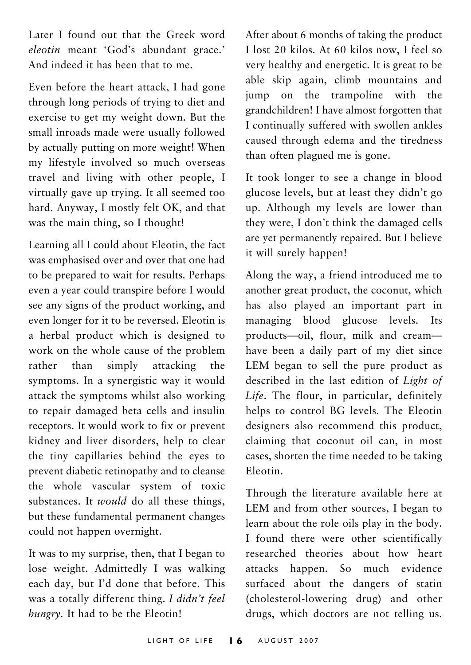Later I found out that the Greek word *eleotin* meant 'God's abundant grace.' And indeed it has been that to me.

Even before the heart attack, I had gone through long periods of trying to diet and exercise to get my weight down. But the small inroads made were usually followed by actually putting on more weight! When my lifestyle involved so much overseas travel and living with other people, I virtually gave up trying. It all seemed too hard. Anyway, I mostly felt OK, and that was the main thing, so I thought!

Learning all I could about Eleotin, the fact was emphasised over and over that one had to be prepared to wait for results. Perhaps even a year could transpire before I would see any signs of the product working, and even longer for it to be reversed. Eleotin is a herbal product which is designed to work on the whole cause of the problem rather than simply attacking the symptoms. In a synergistic way it would attack the symptoms whilst also working to repair damaged beta cells and insulin receptors. It would work to fix or prevent kidney and liver disorders, help to clear the tiny capillaries behind the eyes to prevent diabetic retinopathy and to cleanse the whole vascular system of toxic substances. It *would* do all these things, but these fundamental permanent changes could not happen overnight.

It was to my surprise, then, that I began to lose weight. Admittedly I was walking each day, but I'd done that before. This was a totally different thing. *I didn't feel hungry.* It had to be the Eleotin!

After about 6 months of taking the product I lost 20 kilos. At 60 kilos now, I feel so very healthy and energetic. It is great to be able skip again, climb mountains and jump on the trampoline with the grandchildren! I have almost forgotten that I continually suffered with swollen ankles caused through edema and the tiredness than often plagued me is gone.

It took longer to see a change in blood glucose levels, but at least they didn't go up. Although my levels are lower than they were, I don't think the damaged cells are yet permanently repaired. But I believe it will surely happen!

Along the way, a friend introduced me to another great product, the coconut, which has also played an important part in managing blood glucose levels. Its products—oil, flour, milk and cream have been a daily part of my diet since LEM began to sell the pure product as described in the last edition of *Light of Life*. The flour, in particular, definitely helps to control BG levels. The Eleotin designers also recommend this product, claiming that coconut oil can, in most cases, shorten the time needed to be taking Eleotin.

Through the literature available here at LEM and from other sources, I began to learn about the role oils play in the body. I found there were other scientifically researched theories about how heart attacks happen. So much evidence surfaced about the dangers of statin (cholesterol-lowering drug) and other drugs, which doctors are not telling us.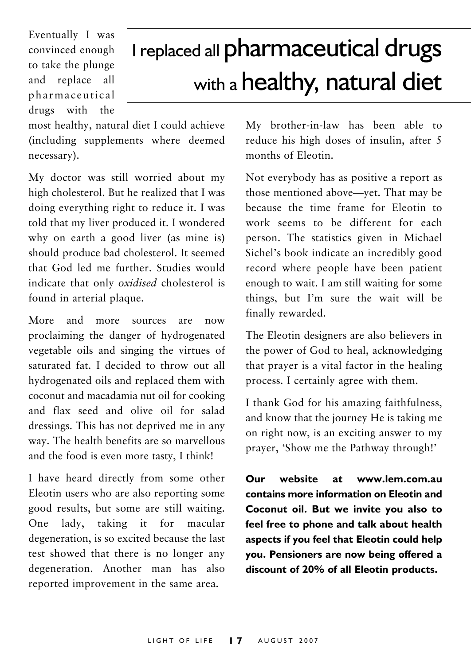Eventually I was convinced enough to take the plunge and replace all pharmaceutical drugs with the

## I replaced all pharmaceutical drugs with a healthy, natural diet

most healthy, natural diet I could achieve (including supplements where deemed necessary).

My doctor was still worried about my high cholesterol. But he realized that I was doing everything right to reduce it. I was told that my liver produced it. I wondered why on earth a good liver (as mine is) should produce bad cholesterol. It seemed that God led me further. Studies would indicate that only *oxidised* cholesterol is found in arterial plaque.

More and more sources are now proclaiming the danger of hydrogenated vegetable oils and singing the virtues of saturated fat. I decided to throw out all hydrogenated oils and replaced them with coconut and macadamia nut oil for cooking and flax seed and olive oil for salad dressings. This has not deprived me in any way. The health benefits are so marvellous and the food is even more tasty, I think!

I have heard directly from some other Eleotin users who are also reporting some good results, but some are still waiting. One lady, taking it for macular degeneration, is so excited because the last test showed that there is no longer any degeneration. Another man has also reported improvement in the same area.

My brother-in-law has been able to reduce his high doses of insulin, after 5 months of Eleotin.

Not everybody has as positive a report as those mentioned above—yet. That may be because the time frame for Eleotin to work seems to be different for each person. The statistics given in Michael Sichel's book indicate an incredibly good record where people have been patient enough to wait. I am still waiting for some things, but I'm sure the wait will be finally rewarded.

The Eleotin designers are also believers in the power of God to heal, acknowledging that prayer is a vital factor in the healing process. I certainly agree with them.

I thank God for his amazing faithfulness, and know that the journey He is taking me on right now, is an exciting answer to my prayer, 'Show me the Pathway through!'

**Our website at www.lem.com.au contains more information on Eleotin and Coconut oil. But we invite you also to feel free to phone and talk about health aspects if you feel that Eleotin could help you. Pensioners are now being offered a discount of 20% of all Eleotin products.**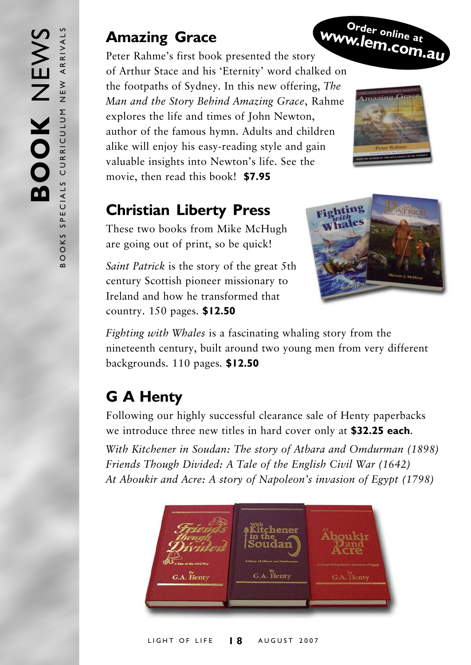## **Amazing Grace**

Peter Rahme's first book presented the story of Arthur Stace and his 'Eternity' word chalked on the footpaths of Sydney. In this new offering, *The Man and the Story Behind Amazing Grace*, Rahme explores the life and times of John Newton, author of the famous hymn. Adults and children alike will enjoy his easy-reading style and gain valuable insights into Newton's life. See the movie, then read this book! **\$7.95 www.lem.com.au**

## **Christian Liberty Press**

These two books from Mike McHugh are going out of print, so be quick!

*Saint Patrick* is the story of the great 5th century Scottish pioneer missionary to Ireland and how he transformed that country. 150 pages. **\$12.50**



**Order online at**

*Fighting with Whales* is a fascinating whaling story from the nineteenth century, built around two young men from very different backgrounds. 110 pages. **\$12.50**

## **G A Henty**

Following our highly successful clearance sale of Henty paperbacks we introduce three new titles in hard cover only at **\$32.25 each**. *With Kitchener in Soudan: The story of Atbara and Omdurman (1898) Friends Though Divided: A Tale of the English Civil War (1642) At Aboukir and Acre: A story of Napoleon's invasion of Egypt (1798)*



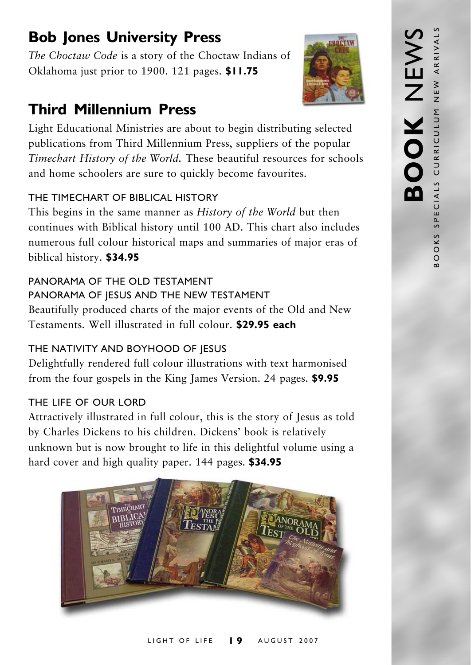## **Bob Jones University Press**

*The Choctaw Code* is a story of the Choctaw Indians of Oklahoma just prior to 1900. 121 pages. **\$11.75**

## **Third Millennium Press**

Light Educational Ministries are about to begin distributing selected publications from Third Millennium Press, suppliers of the popular *Timechart History of the World.* These beautiful resources for schools and home schoolers are sure to quickly become favourites.

#### THE TIMECHART OF BIBLICAL HISTORY

This begins in the same manner as *History of the World* but then continues with Biblical history until 100 AD. This chart also includes numerous full colour historical maps and summaries of major eras of biblical history. **\$34.95**

## PANORAMA OF THE OLD TESTAMENT

#### PANORAMA OF IESUS AND THE NEW TESTAMENT

Beautifully produced charts of the major events of the Old and New Testaments. Well illustrated in full colour. **\$29.95 each**

#### THE NATIVITY AND BOYHOOD OF JESUS

Delightfully rendered full colour illustrations with text harmonised from the four gospels in the King James Version. 24 pages. **\$9.95**

#### THE LIFE OF OUR LORD

Attractively illustrated in full colour, this is the story of Jesus as told by Charles Dickens to his children. Dickens' book is relatively unknown but is now brought to life in this delightful volume using a hard cover and high quality paper. 144 pages. **\$34.95**



#### LIGHT OF LIFE **1 9** AUGUST 2007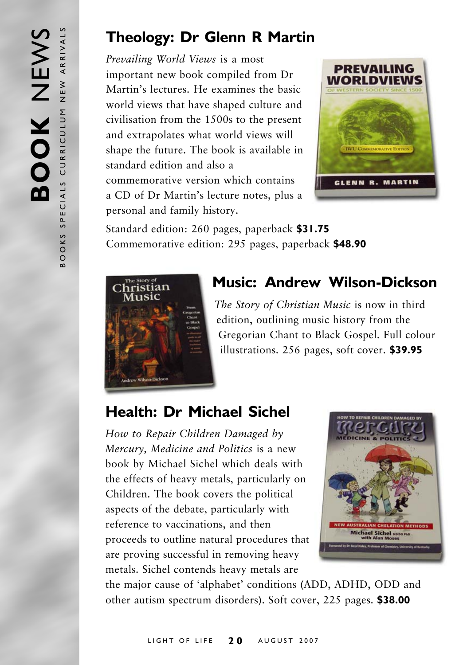### **Theology: Dr Glenn R Martin**

*Prevailing World Views* is a most important new book compiled from Dr Martin's lectures. He examines the basic world views that have shaped culture and civilisation from the 1500s to the present and extrapolates what world views will shape the future. The book is available in standard edition and also a commemorative version which contains a CD of Dr Martin's lecture notes, plus a personal and family history.



Standard edition: 260 pages, paperback **\$31.75** Commemorative edition: 295 pages, paperback **\$48.90**



## **Music: Andrew Wilson-Dickson**

*The Story of Christian Music* is now in third edition, outlining music history from the Gregorian Chant to Black Gospel. Full colour illustrations. 256 pages, soft cover. **\$39.95**

## **Health: Dr Michael Sichel**

*How to Repair Children Damaged by Mercury, Medicine and Politics* is a new book by Michael Sichel which deals with the effects of heavy metals, particularly on Children. The book covers the political aspects of the debate, particularly with reference to vaccinations, and then proceeds to outline natural procedures that are proving successful in removing heavy metals. Sichel contends heavy metals are



the major cause of 'alphabet' conditions (ADD, ADHD, ODD and other autism spectrum disorders). Soft cover, 225 pages. **\$38.00**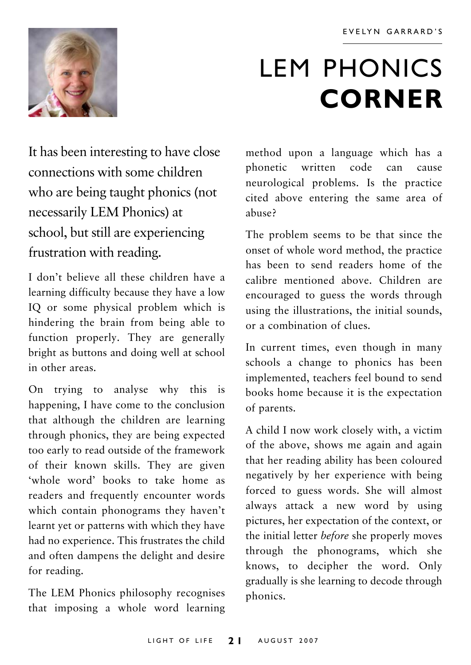

## LEM PHONICS **CORNER**

It has been interesting to have close connections with some children who are being taught phonics (not necessarily LEM Phonics) at school, but still are experiencing frustration with reading.

I don't believe all these children have a learning difficulty because they have a low IQ or some physical problem which is hindering the brain from being able to function properly. They are generally bright as buttons and doing well at school in other areas.

On trying to analyse why this is happening, I have come to the conclusion that although the children are learning through phonics, they are being expected too early to read outside of the framework of their known skills. They are given 'whole word' books to take home as readers and frequently encounter words which contain phonograms they haven't learnt yet or patterns with which they have had no experience. This frustrates the child and often dampens the delight and desire for reading.

The LEM Phonics philosophy recognises that imposing a whole word learning

method upon a language which has a phonetic written code can cause neurological problems. Is the practice cited above entering the same area of abuse?

The problem seems to be that since the onset of whole word method, the practice has been to send readers home of the calibre mentioned above. Children are encouraged to guess the words through using the illustrations, the initial sounds, or a combination of clues.

In current times, even though in many schools a change to phonics has been implemented, teachers feel bound to send books home because it is the expectation of parents.

A child I now work closely with, a victim of the above, shows me again and again that her reading ability has been coloured negatively by her experience with being forced to guess words. She will almost always attack a new word by using pictures, her expectation of the context, or the initial letter *before* she properly moves through the phonograms, which she knows, to decipher the word. Only gradually is she learning to decode through phonics.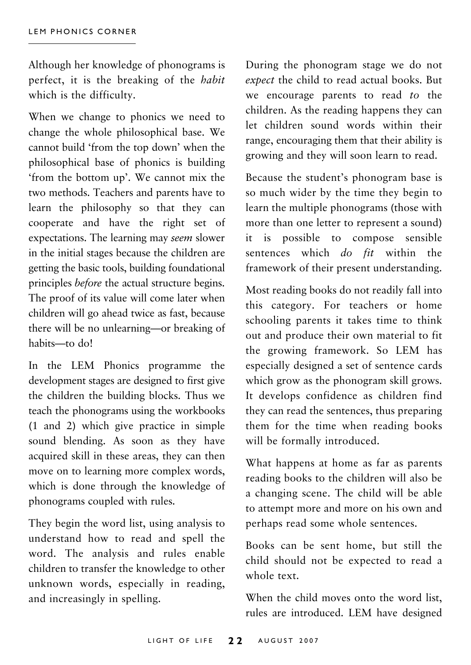Although her knowledge of phonograms is perfect, it is the breaking of the *habit* which is the difficulty.

When we change to phonics we need to change the whole philosophical base. We cannot build 'from the top down' when the philosophical base of phonics is building 'from the bottom up'. We cannot mix the two methods. Teachers and parents have to learn the philosophy so that they can cooperate and have the right set of expectations. The learning may *seem* slower in the initial stages because the children are getting the basic tools, building foundational principles *before* the actual structure begins. The proof of its value will come later when children will go ahead twice as fast, because there will be no unlearning—or breaking of habits—to do!

In the LEM Phonics programme the development stages are designed to first give the children the building blocks. Thus we teach the phonograms using the workbooks (1 and 2) which give practice in simple sound blending. As soon as they have acquired skill in these areas, they can then move on to learning more complex words, which is done through the knowledge of phonograms coupled with rules.

They begin the word list, using analysis to understand how to read and spell the word. The analysis and rules enable children to transfer the knowledge to other unknown words, especially in reading, and increasingly in spelling.

During the phonogram stage we do not *expect* the child to read actual books. But we encourage parents to read *to* the children. As the reading happens they can let children sound words within their range, encouraging them that their ability is growing and they will soon learn to read.

Because the student's phonogram base is so much wider by the time they begin to learn the multiple phonograms (those with more than one letter to represent a sound) it is possible to compose sensible sentences which *do fit* within the framework of their present understanding.

Most reading books do not readily fall into this category. For teachers or home schooling parents it takes time to think out and produce their own material to fit the growing framework. So LEM has especially designed a set of sentence cards which grow as the phonogram skill grows. It develops confidence as children find they can read the sentences, thus preparing them for the time when reading books will be formally introduced.

What happens at home as far as parents reading books to the children will also be a changing scene. The child will be able to attempt more and more on his own and perhaps read some whole sentences.

Books can be sent home, but still the child should not be expected to read a whole text.

When the child moves onto the word list, rules are introduced. LEM have designed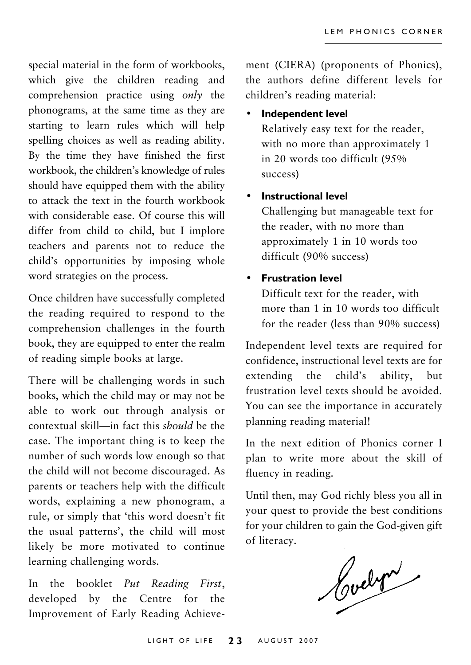special material in the form of workbooks, which give the children reading and comprehension practice using *only* the phonograms, at the same time as they are starting to learn rules which will help spelling choices as well as reading ability. By the time they have finished the first workbook, the children's knowledge of rules should have equipped them with the ability to attack the text in the fourth workbook with considerable ease. Of course this will differ from child to child, but I implore teachers and parents not to reduce the child's opportunities by imposing whole word strategies on the process.

Once children have successfully completed the reading required to respond to the comprehension challenges in the fourth book, they are equipped to enter the realm of reading simple books at large.

There will be challenging words in such books, which the child may or may not be able to work out through analysis or contextual skill—in fact this *should* be the case. The important thing is to keep the number of such words low enough so that the child will not become discouraged. As parents or teachers help with the difficult words, explaining a new phonogram, a rule, or simply that 'this word doesn't fit the usual patterns', the child will most likely be more motivated to continue learning challenging words.

In the booklet *Put Reading First*, developed by the Centre for the Improvement of Early Reading Achieve-

ment (CIERA) (proponents of Phonics), the authors define different levels for children's reading material:

• **Independent level**

Relatively easy text for the reader, with no more than approximately 1 in 20 words too difficult (95% success)

#### • **Instructional level**

Challenging but manageable text for the reader, with no more than approximately 1 in 10 words too difficult (90% success)

#### • **Frustration level**

Difficult text for the reader, with more than 1 in 10 words too difficult for the reader (less than 90% success)

Independent level texts are required for confidence, instructional level texts are for extending the child's ability, but frustration level texts should be avoided. You can see the importance in accurately planning reading material!

In the next edition of Phonics corner I plan to write more about the skill of fluency in reading.

Until then, may God richly bless you all in your quest to provide the best conditions for your children to gain the God-given gift of literacy.

Cochran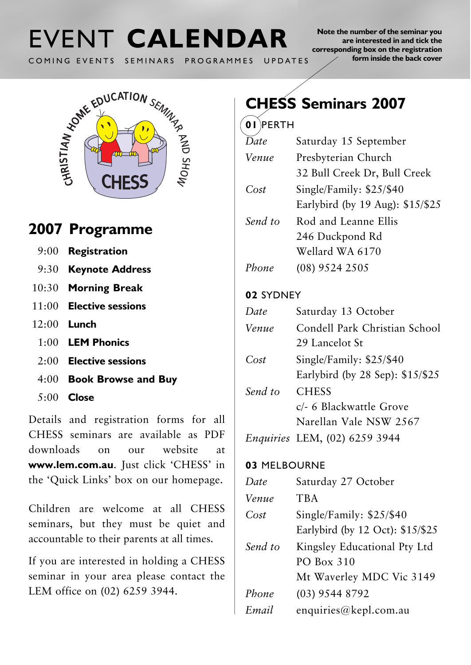# COMING EVENTS SEMINARS PROGRAMMES UPDATES

**Note the number of the seminar you are interested in and tick the corresponding box on the registration form inside the back cover**



## **2007 Programme**

- 9:00 **Registration**
- 9:30 **Keynote Address**
- 10:30 **Morning Break**
- 11:00 **Elective sessions**
- 12:00 **Lunch**
	- 1:00 **LEM Phonics**
	- 2:00 **Elective sessions**
	- 4:00 **Book Browse and Buy**
	- 5:00 **Close**

Details and registration forms for all CHESS seminars are available as PDF downloads on our website at **www.lem.com.au**. Just click 'CHESS' in the 'Quick Links' box on our homepage.

Children are welcome at all CHESS seminars, but they must be quiet and accountable to their parents at all times.

If you are interested in holding a CHESS seminar in your area please contact the LEM office on (02) 6259 3944.

## **CHESS Seminars 2007**

#### **01** PERTH

| Date    | Saturday 15 September            |
|---------|----------------------------------|
| Venue   | Presbyterian Church              |
|         | 32 Bull Creek Dr, Bull Creek     |
| Cost    | Single/Family: \$25/\$40         |
|         | Earlybird (by 19 Aug): \$15/\$25 |
| Send to | Rod and Leanne Ellis             |
|         | 246 Duckpond Rd                  |
|         | Wellard WA 6170                  |
| Phone   | $(08)$ 9524 2505                 |

#### **02** SYDNEY

| Date    | Saturday 13 October              |
|---------|----------------------------------|
| Venue   | Condell Park Christian School    |
|         | 29 Lancelot St                   |
| Cost    | Single/Family: $$25/$40$         |
|         | Earlybird (by 28 Sep): \$15/\$25 |
| Send to | <b>CHESS</b>                     |
|         | c/- 6 Blackwattle Grove          |
|         | Narellan Vale NSW 2567           |
|         |                                  |

*Enquiries* LEM, (02) 6259 3944

#### **03** MELBOURNE

| Date    | Saturday 27 October              |
|---------|----------------------------------|
| Venue   | <b>TBA</b>                       |
| Cost    | Single/Family: \$25/\$40         |
|         | Earlybird (by 12 Oct): \$15/\$25 |
| Send to | Kingsley Educational Pty Ltd     |
|         | PO Box 310                       |
|         | Mt Waverley MDC Vic 3149         |
| Phone   | (03) 9544 8792                   |
| Email   | enquiries@kepl.com.au            |